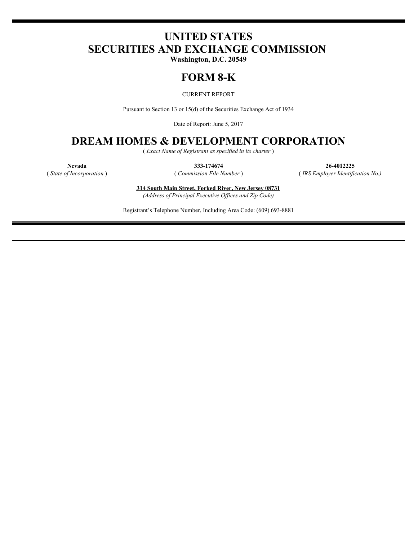# **UNITED STATES SECURITIES AND EXCHANGE COMMISSION**

**Washington, D.C. 20549**

## **FORM 8-K**

CURRENT REPORT

Pursuant to Section 13 or 15(d) of the Securities Exchange Act of 1934

Date of Report: June 5, 2017

## **DREAM HOMES & DEVELOPMENT CORPORATION**

( *Exact Name of Registrant as specified in its charter* )

**Nevada 333-174674 26-4012225** ( *State of Incorporation* ) ( *Commission File Number* ) ( *IRS Employer Identification No.)*

> **314 South Main Street, Forked River, New Jersey 08731** *(Address of Principal Executive Offices and Zip Code)*

Registrant's Telephone Number, Including Area Code: (609) 693-8881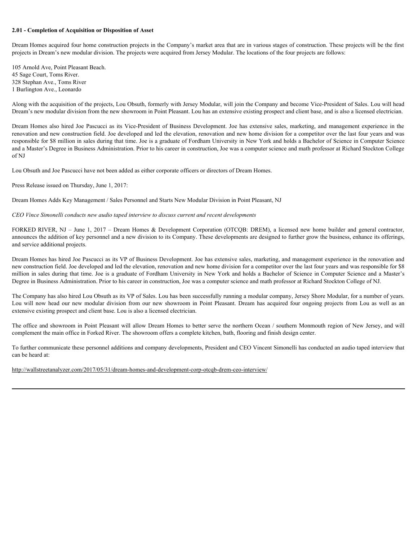#### **2.01 - Completion of Acquisition or Disposition of Asset**

Dream Homes acquired four home construction projects in the Company's market area that are in various stages of construction. These projects will be the first projects in Dream's new modular division. The projects were acquired from Jersey Modular. The locations of the four projects are follows:

105 Arnold Ave, Point Pleasant Beach. 45 Sage Court, Toms River. 328 Stephan Ave., Toms River 1 Burlington Ave., Leonardo

Along with the acquisition of the projects, Lou Obsuth, formerly with Jersey Modular, will join the Company and become Vice-President of Sales. Lou will head Dream's new modular division from the new showroom in Point Pleasant. Lou has an extensive existing prospect and client base, and is also a licensed electrician.

**2.01 - Completion of Acquisition or Disposition of Asset**<br>Dream Homes acquired four home construction projects were acquired from Jersey Modular. The locations of the four projects are follows:<br>projects in Dream's new mod renovation and new construction field. Joe developed and led the elevation, renovation and new home division for a competitor over the last four years and was responsible for \$8 million in sales during that time. Joe is a graduate of Fordham University in New York and holds a Bachelor of Science in Computer Science and a Master's Degree in Business Administration. Prior to his career in construction, Joe was a computer science and math professor at Richard Stockton College of NJ 2.01 - Completion of Acquisition or Disposition of Asset<br>
Decay regional four same incentioned projects in the Company's market area that are in various stages of construction. These projects will be absorbed to the<br>
Howev T28 Kinhas (ver, Tow River) is the projects. Lou Obsulis, farmedy with Jean-y Modular will join the Congrany and become Vice-President of Sides. Lou will fixed by the Congrany and the securities of the acquire of the proje

Lou Obsuth and Joe Pascucci have not been added as either corporate officers or directors of Dream Homes.

Press Release issued on Thursday, June 1, 2017:

Dream Homes Adds Key Management / Sales Personnel and Starts New Modular Division in Point Pleasant, NJ

#### *CEO Vince Simonelli conducts new audio taped interview to discuss current and recent developments*

announces the addition of key personnel and a new division to its Company. These developments are designed to further grow the business, enhance its offerings, and service additional projects.

Dream Homes has hired Joe Pascucci as its VP of Business Development. Joe has extensive sales, marketing, and management experience in the renovation and new construction field. Joe developed and led the elevation, renovation and new home division for a competitor over the last four years and was responsible for \$8 million in sales during that time. Joe is a graduate of Fordham University in New York and holds a Bachelor of Science in Computer Science and a Master's Degree in Business Administration. Prior to his career in construction, Joe was a computer science and math professor at Richard Stockton College of NJ.

The Company has also hired Lou Obsuth as its VP of Sales. Lou has been successfully running a modular company, Jersey Shore Modular, for a number of years. extensive existing prospect and client base. Lou is also a licensed electrician.

The office and showroom in Point Pleasant will allow Dream Homes to better serve the northern Ocean / southern Monmouth region of New Jersey, and will complement the main office in Forked River. The showroom offers a complete kitchen, bath, flooring and finish design center.

To further communicate these personnel additions and company developments, President and CEO Vincent Simonelli has conducted an audio taped interview that can be heard at:

http://wallstreetanalyzer.com/2017/05/31/dream-homes-and-development-corp-otcqb-drem-ceo-interview/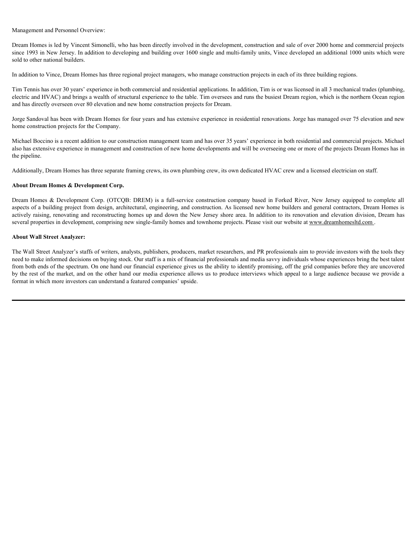#### Management and Personnel Overview:

Dream Homes is led by Vincent Simonelli, who has been directly involved in the development, construction and sale of over 2000 home and commercial projects since 1993 in New Jersey. In addition to developing and building over 1600 single and multi-family units, Vince developed an additional 1000 units which were sold to other national builders.

In addition to Vince, Dream Homes has three regional project managers, who manage construction projects in each of its three building regions.

Tim Tennis has over 30 years' experience in both commercial and residential applications. In addition, Tim is or was licensed in all 3 mechanical trades (plumbing, electric and HVAC) and brings a wealth of structural experience to the table. Tim oversees and runs the busiest Dream region, which is the northern Ocean region and has directly overseen over 80 elevation and new home construction projects for Dream.

Jorge Sandoval has been with Dream Homes for four years and has extensive experience in residential renovations. Jorge has managed over 75 elevation and new home construction projects for the Company.

Michael Boccino is a recent addition to our construction management team and has over 35 years' experience in both residential and commercial projects. Michael also has extensive experience in management and construction of new home developments and will be overseeing one or more of the projects Dream Homes has in the pipeline.

Additionally, Dream Homes has three separate framing crews, its own plumbing crew, its own dedicated HVAC crew and a licensed electrician on staff.

#### **About Dream Homes & Development Corp.**

Management and Personnel Overview:<br>Dream Homes is led by Vincent Simonelli, who has been directly involved in the development, construction and as it of over 2000 home and commercial projects<br>over 1991 in Vero Parage In ad aspects of a building project from design, architectural, engineering, and construction. As licensed new home builders and general contractors, Dream Homes is actively raising, renovating and reconstructing homes up and down the New Jersey shore area. In addition to its renovation and elevation division, Dream has several properties in development, comprising new single-family homes and townhome projects. Please visit our website at www.dreamhomesltd.com.

#### **About Wall Street Analyzer:**

The Wall Street Analyzer's staffs of writers, analysts, publishers, producers, market researchers, and PR professionals aim to provide investors with the tools they need to make informed decisions on buying stock. Our staff is a mix of financial professionals and media savvy individuals whose experiences bring the best talent from both ends of the spectrum. On one hand our financial experience gives us the ability to identify promising, off the grid companies before they are uncovered by the rest of the market, and on the other hand our media experience allows us to produce interviews which appeal to a large audience because we provide a format in which more investors can understand a featured companies' upside.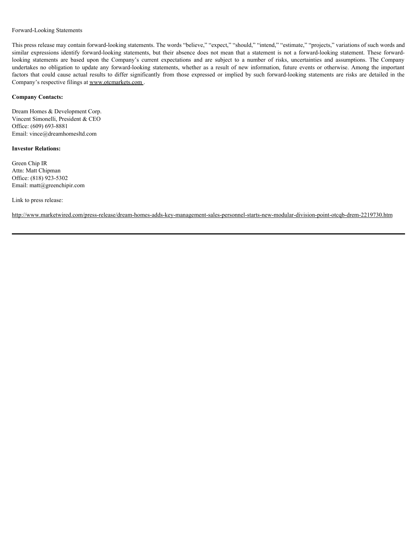#### Forward-Looking Statements

This press release may contain forward-looking statements. The words "believe," "expect," "should," "intend," "estimate," "projects," variations of such words and Forward-Looking Statements<br>This press release may contain forward-looking statements. The words "believe," "expect," "should," "intend," "estimate," "projects," variations of such words and<br>similar expressions identify for Forward-Looking Statements<br>
This press release may contain forward-looking statements. The words "believe," "expect," "should," "intend," "estimate," "projects," variations of such words and<br>
similar expressions identify f Forward-Looking Statements<br>This press release may contain forward-looking statements. The words "believe," "expect," "should," "intend," "estimate," "projects," variations of such words and<br>similar expressions identify for Forward-Looking Statements<br>
This press release may contain forward-looking statements. The words "believe," "expect," "should," "intend," "estimate," "projects," variations of such words and<br>
similar expressions identify f Company's respective filings at www.otcmarkets.com .

#### **Company Contacts:**

Dream Homes & Development Corp. Vincent Simonelli, President & CEO Office: (609) 693-8881 Email: vince@dreamhomesltd.com

#### **Investor Relations:**

Green Chip IR Attn: Matt Chipman Office: (818) 923-5302 Email: matt@greenchipir.com

Link to press release:

http://www.marketwired.com/press-release/dream-homes-adds-key-management-sales-personnel-starts-new-modular-division-point-otcqb-drem-2219730.htm